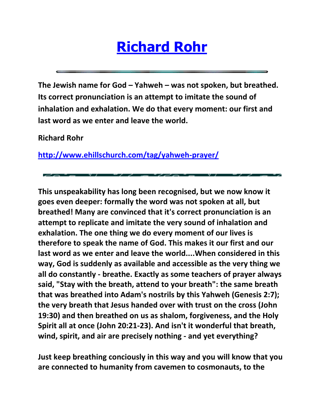## **[Richard Rohr](http://cacradicalgrace.org/)**

**The Jewish name for God – Yahweh – was not spoken, but breathed. Its correct pronunciation is an attempt to imitate the sound of inhalation and exhalation. We do that every moment: our first and last word as we enter and leave the world.**

**Richard Rohr**

**<http://www.ehillschurch.com/tag/yahweh-prayer/>**

**This unspeakability has long been recognised, but we now know it goes even deeper: formally the word was not spoken at all, but breathed! Many are convinced that it's correct pronunciation is an attempt to replicate and imitate the very sound of inhalation and exhalation. The one thing we do every moment of our lives is therefore to speak the name of God. This makes it our first and our last word as we enter and leave the world....When considered in this way, God is suddenly as available and accessible as the very thing we all do constantly - breathe. Exactly as some teachers of prayer always said, "Stay with the breath, attend to your breath": the same breath that was breathed into Adam's nostrils by this Yahweh (Genesis 2:7); the very breath that Jesus handed over with trust on the cross (John 19:30) and then breathed on us as shalom, forgiveness, and the Holy Spirit all at once (John 20:21-23). And isn't it wonderful that breath, wind, spirit, and air are precisely nothing - and yet everything?**

**Just keep breathing conciously in this way and you will know that you are connected to humanity from cavemen to cosmonauts, to the**